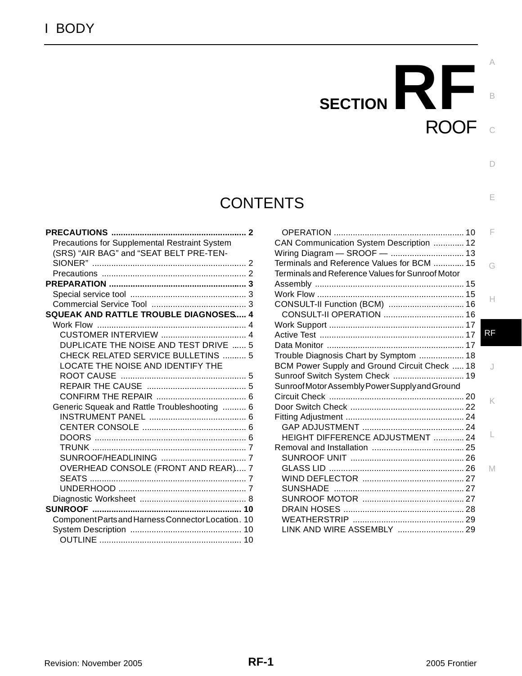# **CONTENTS**

| Precautions for Supplemental Restraint System      |  |
|----------------------------------------------------|--|
| (SRS) "AIR BAG" and "SEAT BELT PRE-TEN-            |  |
|                                                    |  |
|                                                    |  |
|                                                    |  |
|                                                    |  |
|                                                    |  |
| SQUEAK AND RATTLE TROUBLE DIAGNOSES 4              |  |
|                                                    |  |
|                                                    |  |
| DUPLICATE THE NOISE AND TEST DRIVE  5              |  |
| <b>CHECK RELATED SERVICE BULLETINS  5</b>          |  |
| LOCATE THE NOISE AND IDENTIFY THE                  |  |
|                                                    |  |
|                                                    |  |
|                                                    |  |
| Generic Squeak and Rattle Troubleshooting  6       |  |
|                                                    |  |
|                                                    |  |
|                                                    |  |
|                                                    |  |
|                                                    |  |
| OVERHEAD CONSOLE (FRONT AND REAR) 7                |  |
|                                                    |  |
|                                                    |  |
|                                                    |  |
|                                                    |  |
| Component Parts and Harness Connector Location. 10 |  |
|                                                    |  |
|                                                    |  |

|                                                  | F         |
|--------------------------------------------------|-----------|
| CAN Communication System Description  12         |           |
|                                                  |           |
| Terminals and Reference Values for BCM  15       | G         |
| Terminals and Reference Values for Sunroof Motor |           |
|                                                  |           |
|                                                  | H         |
| CONSULT-II Function (BCM)  16                    |           |
|                                                  |           |
|                                                  |           |
|                                                  | <b>RF</b> |
|                                                  |           |
| Trouble Diagnosis Chart by Symptom  18           |           |
| BCM Power Supply and Ground Circuit Check  18    | J         |
| Sunroof Switch System Check  19                  |           |
| Sunroof Motor Assembly Power Supply and Ground   |           |
|                                                  | K         |
|                                                  |           |
|                                                  |           |
|                                                  |           |
| HEIGHT DIFFERENCE ADJUSTMENT  24                 |           |
|                                                  |           |
|                                                  |           |
|                                                  | M         |
|                                                  |           |
|                                                  |           |
|                                                  |           |
|                                                  |           |
|                                                  |           |
| LINK AND WIRE ASSEMBLY  29                       |           |

ROOF

**SECTION RF** 

C

B

 $\Box$ 

E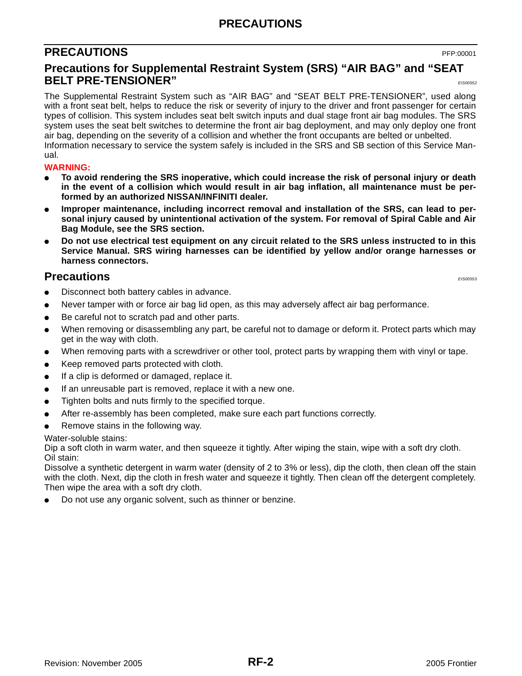### **PRECAUTIONS**

### <span id="page-1-0"></span>**PRECAUTIONS** PFP:00001

### <span id="page-1-1"></span>**Precautions for Supplemental Restraint System (SRS) "AIR BAG" and "SEAT BELT PRE-TENSIONER"** *EIS00552*

The Supplemental Restraint System such as "AIR BAG" and "SEAT BELT PRE-TENSIONER", used along with a front seat belt, helps to reduce the risk or severity of injury to the driver and front passenger for certain types of collision. This system includes seat belt switch inputs and dual stage front air bag modules. The SRS system uses the seat belt switches to determine the front air bag deployment, and may only deploy one front air bag, depending on the severity of a collision and whether the front occupants are belted or unbelted. Information necessary to service the system safely is included in the SRS and SB section of this Service Manual.

#### **WARNING:**

- **To avoid rendering the SRS inoperative, which could increase the risk of personal injury or death in the event of a collision which would result in air bag inflation, all maintenance must be performed by an authorized NISSAN/INFINITI dealer.**
- Improper maintenance, including incorrect removal and installation of the SRS, can lead to per**sonal injury caused by unintentional activation of the system. For removal of Spiral Cable and Air Bag Module, see the SRS section.**
- Do not use electrical test equipment on any circuit related to the SRS unless instructed to in this **Service Manual. SRS wiring harnesses can be identified by yellow and/or orange harnesses or harness connectors.**

### <span id="page-1-2"></span>**Precautions** *Precautions*

- Disconnect both battery cables in advance.
- Never tamper with or force air bag lid open, as this may adversely affect air bag performance.
- Be careful not to scratch pad and other parts.
- When removing or disassembling any part, be careful not to damage or deform it. Protect parts which may get in the way with cloth.
- When removing parts with a screwdriver or other tool, protect parts by wrapping them with vinyl or tape.
- Keep removed parts protected with cloth.
- If a clip is deformed or damaged, replace it.
- If an unreusable part is removed, replace it with a new one.
- Tighten bolts and nuts firmly to the specified torque.
- After re-assembly has been completed, make sure each part functions correctly.
- Remove stains in the following way.

#### Water-soluble stains:

Dip a soft cloth in warm water, and then squeeze it tightly. After wiping the stain, wipe with a soft dry cloth. Oil stain:

Dissolve a synthetic detergent in warm water (density of 2 to 3% or less), dip the cloth, then clean off the stain with the cloth. Next, dip the cloth in fresh water and squeeze it tightly. Then clean off the detergent completely. Then wipe the area with a soft dry cloth.

Do not use any organic solvent, such as thinner or benzine.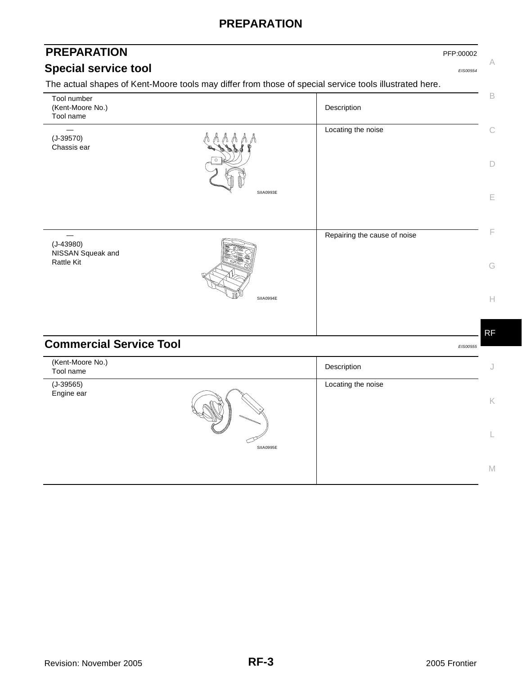### **PREPARATION**

# <span id="page-2-1"></span><span id="page-2-0"></span>**PREPARATION** PFP:00002 **Special service tool** *EIS00554*

A

The actual shapes of Kent-Moore tools may differ from those of special service tools illustrated here.

<span id="page-2-2"></span>

| Tool number<br>(Kent-Moore No.)<br>Tool name |           | Description                  | $\mathsf B$                                         |
|----------------------------------------------|-----------|------------------------------|-----------------------------------------------------|
| $(J-39570)$<br>Chassis ear                   |           | Locating the noise           | $\mathcal{C}$                                       |
|                                              |           |                              | $\Box$                                              |
|                                              | SIIA0993E |                              | $\mathsf E$                                         |
| $(J-43980)$                                  |           | Repairing the cause of noise | F                                                   |
| NISSAN Squeak and<br><b>Rattle Kit</b>       |           |                              | G                                                   |
|                                              | SIIA0994E |                              | $\mathrel{\vdash}\mathrel{\vdash}$                  |
| <b>Commercial Service Tool</b>               |           |                              | <b>RF</b>                                           |
|                                              |           |                              | EIS00555                                            |
| (Kent-Moore No.)<br>Tool name                |           | Description                  | $\bigcup$                                           |
| $(J-39565)$<br>Engine ear                    |           | Locating the noise           |                                                     |
|                                              |           |                              | $\mathsf{K}% _{0}^{\prime}=\mathsf{K}_{0}^{\prime}$ |
|                                              | SIIA0995E |                              | L                                                   |
|                                              |           |                              | $\mathbb M$                                         |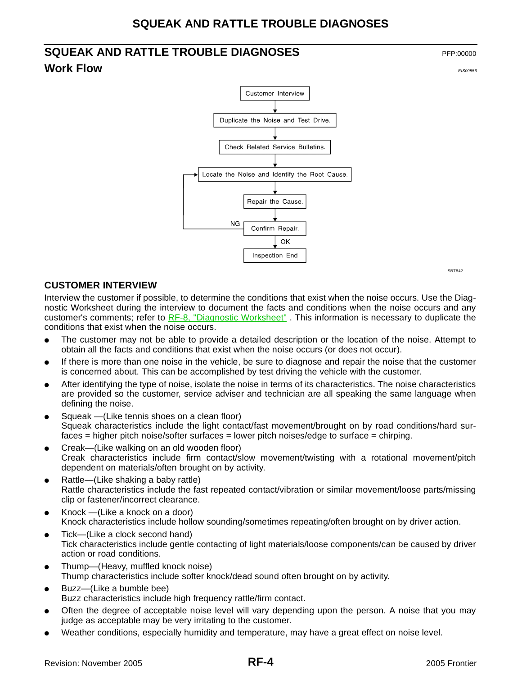# <span id="page-3-1"></span><span id="page-3-0"></span>**SQUEAK AND RATTLE TROUBLE DIAGNOSES Work Flow** *EIS00556*



SBT842

#### <span id="page-3-2"></span>**CUSTOMER INTERVIEW**

Interview the customer if possible, to determine the conditions that exist when the noise occurs. Use the Diagnostic Worksheet during the interview to document the facts and conditions when the noise occurs and any customer's comments; refer to [RF-8, "Diagnostic Worksheet"](#page-7-0) . This information is necessary to duplicate the conditions that exist when the noise occurs.

- The customer may not be able to provide a detailed description or the location of the noise. Attempt to obtain all the facts and conditions that exist when the noise occurs (or does not occur).
- If there is more than one noise in the vehicle, be sure to diagnose and repair the noise that the customer is concerned about. This can be accomplished by test driving the vehicle with the customer.
- After identifying the type of noise, isolate the noise in terms of its characteristics. The noise characteristics are provided so the customer, service adviser and technician are all speaking the same language when defining the noise.
- Squeak —(Like tennis shoes on a clean floor) Squeak characteristics include the light contact/fast movement/brought on by road conditions/hard surfaces = higher pitch noise/softer surfaces = lower pitch noises/edge to surface = chirping.
- Creak—(Like walking on an old wooden floor) Creak characteristics include firm contact/slow movement/twisting with a rotational movement/pitch dependent on materials/often brought on by activity.
- Rattle—(Like shaking a baby rattle) Rattle characteristics include the fast repeated contact/vibration or similar movement/loose parts/missing clip or fastener/incorrect clearance.
- Knock  $-$ (Like a knock on a door) Knock characteristics include hollow sounding/sometimes repeating/often brought on by driver action.
- Tick-(Like a clock second hand) Tick characteristics include gentle contacting of light materials/loose components/can be caused by driver action or road conditions.
- Thump—(Heavy, muffled knock noise) Thump characteristics include softer knock/dead sound often brought on by activity.
- Buzz—(Like a bumble bee) Buzz characteristics include high frequency rattle/firm contact.
- Often the degree of acceptable noise level will vary depending upon the person. A noise that you may judge as acceptable may be very irritating to the customer.
- Weather conditions, especially humidity and temperature, may have a great effect on noise level.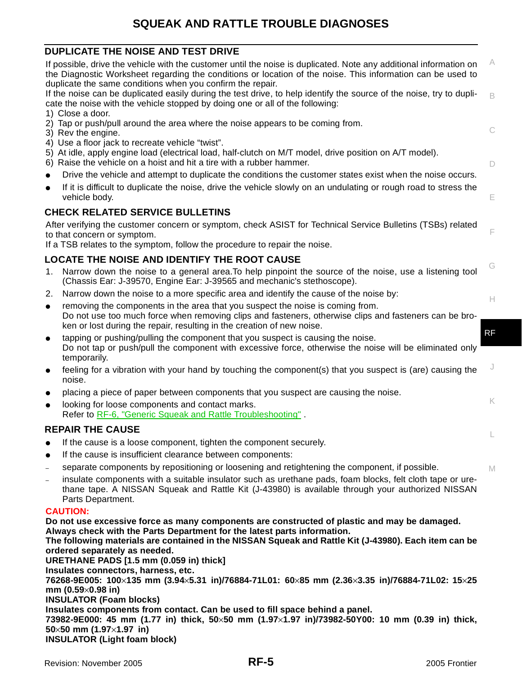## **SQUEAK AND RATTLE TROUBLE DIAGNOSES**

#### <span id="page-4-0"></span>**DUPLICATE THE NOISE AND TEST DRIVE**

<span id="page-4-3"></span><span id="page-4-2"></span><span id="page-4-1"></span>C D E F G H J K L M A B RF If possible, drive the vehicle with the customer until the noise is duplicated. Note any additional information on the Diagnostic Worksheet regarding the conditions or location of the noise. This information can be used to duplicate the same conditions when you confirm the repair. If the noise can be duplicated easily during the test drive, to help identify the source of the noise, try to duplicate the noise with the vehicle stopped by doing one or all of the following: 1) Close a door. 2) Tap or push/pull around the area where the noise appears to be coming from. 3) Rev the engine. 4) Use a floor jack to recreate vehicle "twist". 5) At idle, apply engine load (electrical load, half-clutch on M/T model, drive position on A/T model). 6) Raise the vehicle on a hoist and hit a tire with a rubber hammer. Drive the vehicle and attempt to duplicate the conditions the customer states exist when the noise occurs. If it is difficult to duplicate the noise, drive the vehicle slowly on an undulating or rough road to stress the vehicle body. **CHECK RELATED SERVICE BULLETINS** After verifying the customer concern or symptom, check ASIST for Technical Service Bulletins (TSBs) related to that concern or symptom. If a TSB relates to the symptom, follow the procedure to repair the noise. **LOCATE THE NOISE AND IDENTIFY THE ROOT CAUSE** 1. Narrow down the noise to a general area.To help pinpoint the source of the noise, use a listening tool (Chassis Ear: J-39570, Engine Ear: J-39565 and mechanic's stethoscope). 2. Narrow down the noise to a more specific area and identify the cause of the noise by: removing the components in the area that you suspect the noise is coming from. Do not use too much force when removing clips and fasteners, otherwise clips and fasteners can be broken or lost during the repair, resulting in the creation of new noise. ● tapping or pushing/pulling the component that you suspect is causing the noise. Do not tap or push/pull the component with excessive force, otherwise the noise will be eliminated only temporarily. feeling for a vibration with your hand by touching the component(s) that you suspect is (are) causing the noise. placing a piece of paper between components that you suspect are causing the noise. looking for loose components and contact marks. Refer to [RF-6, "Generic Squeak and Rattle Troubleshooting"](#page-5-1) . **REPAIR THE CAUSE**  If the cause is a loose component, tighten the component securely. If the cause is insufficient clearance between components: – separate components by repositioning or loosening and retightening the component, if possible. – insulate components with a suitable insulator such as urethane pads, foam blocks, felt cloth tape or urethane tape. A NISSAN Squeak and Rattle Kit (J-43980) is available through your authorized NISSAN Parts Department. **CAUTION: Do not use excessive force as many components are constructed of plastic and may be damaged. Always check with the Parts Department for the latest parts information. The following materials are contained in the NISSAN Squeak and Rattle Kit (J-43980). Each item can be ordered separately as needed. URETHANE PADS [1.5 mm (0.059 in) thick] Insulates connectors, harness, etc. 76268-9E005: 100**×**135 mm (3.94**×**5.31 in)/76884-71L01: 60**×**85 mm (2.36**×**3.35 in)/76884-71L02: 15**×**25 mm (0.59**×**0.98 in) INSULATOR (Foam blocks) Insulates components from contact. Can be used to fill space behind a panel. 73982-9E000: 45 mm (1.77 in) thick, 50**×**50 mm (1.97**×**1.97 in)/73982-50Y00: 10 mm (0.39 in) thick, 50**×**50 mm (1.97**×**1.97 in) INSULATOR (Light foam block)**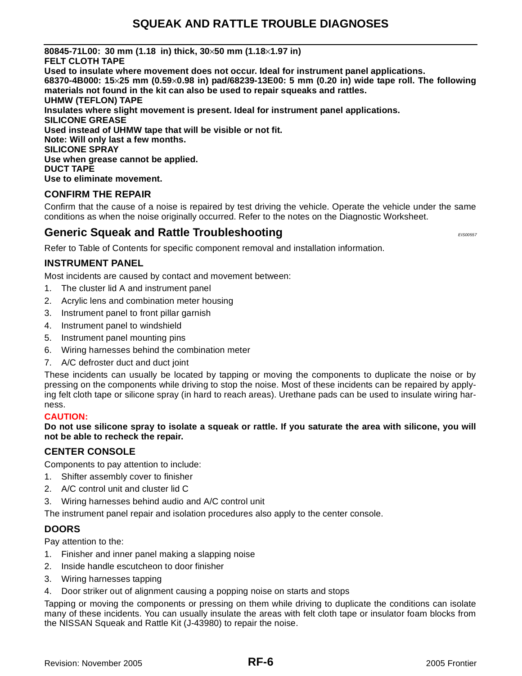**80845-71L00: 30 mm (1.18 in) thick, 30**×**50 mm (1.18**×**1.97 in) FELT CLOTH TAPE Used to insulate where movement does not occur. Ideal for instrument panel applications. 68370-4B000: 15**×**25 mm (0.59**×**0.98 in) pad/68239-13E00: 5 mm (0.20 in) wide tape roll. The following materials not found in the kit can also be used to repair squeaks and rattles. UHMW (TEFLON) TAPE Insulates where slight movement is present. Ideal for instrument panel applications. SILICONE GREASE Used instead of UHMW tape that will be visible or not fit. Note: Will only last a few months. SILICONE SPRAY Use when grease cannot be applied. DUCT TAPE Use to eliminate movement.**

#### <span id="page-5-0"></span>**CONFIRM THE REPAIR**

Confirm that the cause of a noise is repaired by test driving the vehicle. Operate the vehicle under the same conditions as when the noise originally occurred. Refer to the notes on the Diagnostic Worksheet.

### <span id="page-5-1"></span>**Generic Squeak and Rattle Troubleshooting** *EISODERY <b>EISODERY EISODERY*

Refer to Table of Contents for specific component removal and installation information.

#### <span id="page-5-2"></span>**INSTRUMENT PANEL**

Most incidents are caused by contact and movement between:

- 1. The cluster lid A and instrument panel
- 2. Acrylic lens and combination meter housing
- 3. Instrument panel to front pillar garnish
- 4. Instrument panel to windshield
- 5. Instrument panel mounting pins
- 6. Wiring harnesses behind the combination meter
- 7. A/C defroster duct and duct joint

These incidents can usually be located by tapping or moving the components to duplicate the noise or by pressing on the components while driving to stop the noise. Most of these incidents can be repaired by applying felt cloth tape or silicone spray (in hard to reach areas). Urethane pads can be used to insulate wiring harness.

#### **CAUTION:**

**Do not use silicone spray to isolate a squeak or rattle. If you saturate the area with silicone, you will not be able to recheck the repair.**

#### <span id="page-5-3"></span>**CENTER CONSOLE**

Components to pay attention to include:

- 1. Shifter assembly cover to finisher
- 2. A/C control unit and cluster lid C
- 3. Wiring harnesses behind audio and A/C control unit

The instrument panel repair and isolation procedures also apply to the center console.

#### <span id="page-5-4"></span>**DOORS**

Pay attention to the:

- 1. Finisher and inner panel making a slapping noise
- 2. Inside handle escutcheon to door finisher
- 3. Wiring harnesses tapping
- 4. Door striker out of alignment causing a popping noise on starts and stops

Tapping or moving the components or pressing on them while driving to duplicate the conditions can isolate many of these incidents. You can usually insulate the areas with felt cloth tape or insulator foam blocks from the NISSAN Squeak and Rattle Kit (J-43980) to repair the noise.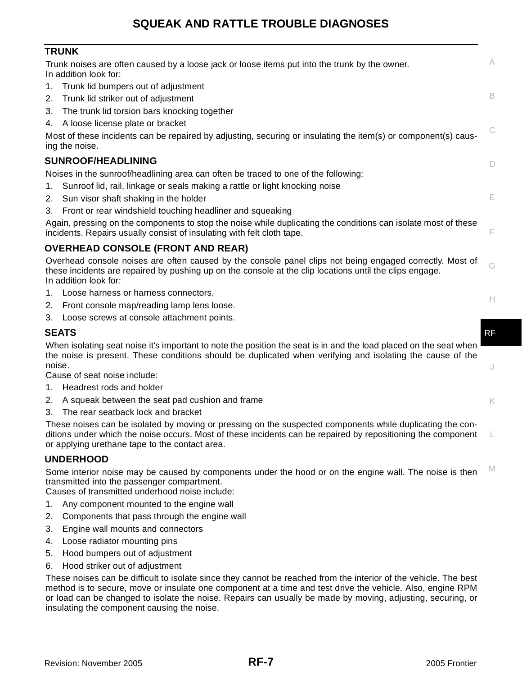### **SQUEAK AND RATTLE TROUBLE DIAGNOSES**

#### <span id="page-6-0"></span>**TRUNK**

<span id="page-6-2"></span><span id="page-6-1"></span>

| Trunk noises are often caused by a loose jack or loose items put into the trunk by the owner.<br>In addition look for:                                                                                                                       | A  |
|----------------------------------------------------------------------------------------------------------------------------------------------------------------------------------------------------------------------------------------------|----|
| 1. Trunk lid bumpers out of adjustment<br>Trunk lid striker out of adjustment<br>2.                                                                                                                                                          | B  |
| 3. The trunk lid torsion bars knocking together                                                                                                                                                                                              |    |
| 4. A loose license plate or bracket                                                                                                                                                                                                          | C  |
| Most of these incidents can be repaired by adjusting, securing or insulating the item(s) or component(s) caus-<br>ing the noise.                                                                                                             |    |
| <b>SUNROOF/HEADLINING</b>                                                                                                                                                                                                                    | D  |
| Noises in the sunroof/headlining area can often be traced to one of the following:                                                                                                                                                           |    |
| Sunroof lid, rail, linkage or seals making a rattle or light knocking noise<br>1.                                                                                                                                                            |    |
| Sun visor shaft shaking in the holder<br>2.                                                                                                                                                                                                  | E  |
| 3. Front or rear windshield touching headliner and squeaking                                                                                                                                                                                 |    |
| Again, pressing on the components to stop the noise while duplicating the conditions can isolate most of these<br>incidents. Repairs usually consist of insulating with felt cloth tape.                                                     | F  |
| <b>OVERHEAD CONSOLE (FRONT AND REAR)</b>                                                                                                                                                                                                     |    |
| Overhead console noises are often caused by the console panel clips not being engaged correctly. Most of<br>these incidents are repaired by pushing up on the console at the clip locations until the clips engage.<br>In addition look for: | G  |
| 1. Loose harness or harness connectors.                                                                                                                                                                                                      |    |
| 2. Front console map/reading lamp lens loose.                                                                                                                                                                                                | Н. |
| 3. Loose screws at console attachment points.                                                                                                                                                                                                |    |
| <b>SEATS</b>                                                                                                                                                                                                                                 | RF |
| When isolating seat noise it's important to note the position the seat is in and the load placed on the seat when<br>the noise is present. These conditions should be duplicated when verifying and isolating the cause of the               |    |
| noise.<br>Cause of seat noise include:                                                                                                                                                                                                       | J  |
| 1. Headrest rods and holder                                                                                                                                                                                                                  |    |
| 2. A squeak between the seat pad cushion and frame                                                                                                                                                                                           |    |
| The rear seatback lock and bracket<br>3.                                                                                                                                                                                                     | K  |
| These noises can be isolated by moving or pressing on the suspected components while duplicating the con-                                                                                                                                    |    |
| ditions under which the noise occurs. Most of these incidents can be repaired by repositioning the component<br>or applying urethane tape to the contact area.                                                                               |    |
| <b>UNDERHOOD</b>                                                                                                                                                                                                                             |    |
| Some interior noise may be caused by components under the hood or on the engine wall. The noise is then<br>transmitted into the passenger compartment.<br>Causes of transmitted underhood noise include:                                     | M  |
| 1. Any component mounted to the engine wall                                                                                                                                                                                                  |    |
| 2. Components that pass through the engine wall                                                                                                                                                                                              |    |

- <span id="page-6-4"></span><span id="page-6-3"></span>3. Engine wall mounts and connectors
- 4. Loose radiator mounting pins
- 5. Hood bumpers out of adjustment
- 6. Hood striker out of adjustment

These noises can be difficult to isolate since they cannot be reached from the interior of the vehicle. The best method is to secure, move or insulate one component at a time and test drive the vehicle. Also, engine RPM or load can be changed to isolate the noise. Repairs can usually be made by moving, adjusting, securing, or insulating the component causing the noise.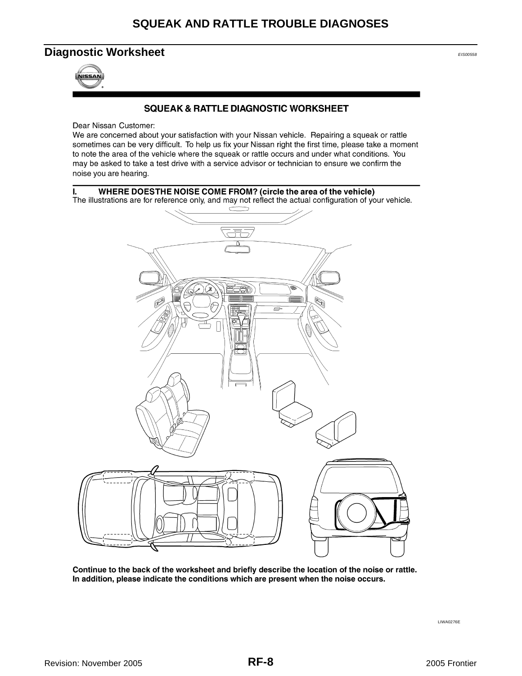### <span id="page-7-0"></span>**Diagnostic Worksheet** *EIS00588***</del>**



#### **SQUEAK & RATTLE DIAGNOSTIC WORKSHEET**

Dear Nissan Customer:

We are concerned about your satisfaction with your Nissan vehicle. Repairing a squeak or rattle sometimes can be very difficult. To help us fix your Nissan right the first time, please take a moment to note the area of the vehicle where the squeak or rattle occurs and under what conditions. You may be asked to take a test drive with a service advisor or technician to ensure we confirm the noise you are hearing.



Continue to the back of the worksheet and briefly describe the location of the noise or rattle. In addition, please indicate the conditions which are present when the noise occurs.

LIWA0276E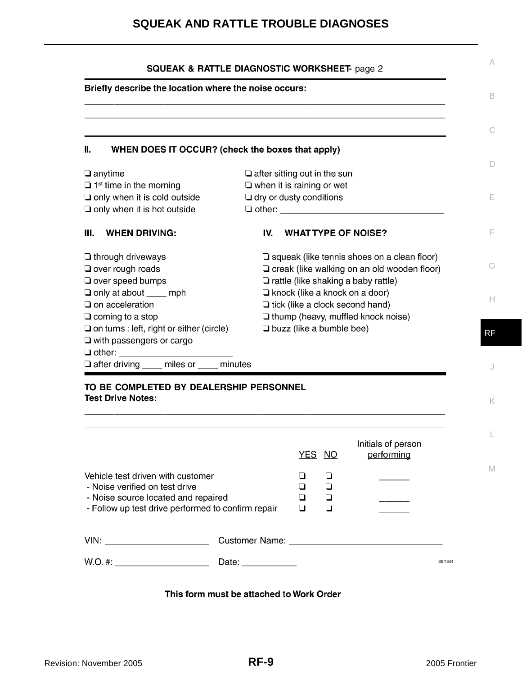### **SQUEAK AND RATTLE TROUBLE DIAGNOSES**

|                                                                                                      | Briefly describe the location where the noise occurs: |     |                                                                                 |                                                    |  |
|------------------------------------------------------------------------------------------------------|-------------------------------------------------------|-----|---------------------------------------------------------------------------------|----------------------------------------------------|--|
|                                                                                                      |                                                       |     |                                                                                 |                                                    |  |
|                                                                                                      |                                                       |     |                                                                                 |                                                    |  |
| Π.<br>WHEN DOES IT OCCUR? (check the boxes that apply)                                               |                                                       |     |                                                                                 |                                                    |  |
| $\Box$ anytime                                                                                       |                                                       |     | $\Box$ after sitting out in the sun                                             |                                                    |  |
| $\Box$ 1 <sup>st</sup> time in the morning                                                           |                                                       |     | $\Box$ when it is raining or wet                                                |                                                    |  |
| $\Box$ only when it is cold outside                                                                  |                                                       |     | $\Box$ dry or dusty conditions                                                  |                                                    |  |
| $\square$ only when it is hot outside                                                                |                                                       |     |                                                                                 |                                                    |  |
| Ш.<br><b>WHEN DRIVING:</b>                                                                           |                                                       | IV. | <b>WHAT TYPE OF NOISE?</b>                                                      |                                                    |  |
| $\Box$ through driveways                                                                             |                                                       |     |                                                                                 | $\Box$ squeak (like tennis shoes on a clean floor) |  |
| $\Box$ over rough roads                                                                              |                                                       |     |                                                                                 | $\Box$ creak (like walking on an old wooden floor) |  |
| O over speed bumps                                                                                   |                                                       |     | $\Box$ rattle (like shaking a baby rattle)                                      |                                                    |  |
| $\Box$ only at about $\_\_\_$ mph<br>$\Box$ on acceleration                                          |                                                       |     | $\Box$ knock (like a knock on a door)<br>$\Box$ tick (like a clock second hand) |                                                    |  |
| $\Box$ coming to a stop                                                                              |                                                       |     | $\Box$ thump (heavy, muffled knock noise)                                       |                                                    |  |
| $\Box$ on turns : left, right or either (circle)                                                     |                                                       |     | $\Box$ buzz (like a bumble bee)                                                 |                                                    |  |
| $\Box$ with passengers or cargo                                                                      |                                                       |     |                                                                                 |                                                    |  |
|                                                                                                      |                                                       |     |                                                                                 |                                                    |  |
|                                                                                                      |                                                       |     |                                                                                 |                                                    |  |
|                                                                                                      |                                                       |     |                                                                                 |                                                    |  |
| $\Box$ after driving $\_\_\_\$ miles or $\_\_\_\$ minutes<br>TO BE COMPLETED BY DEALERSHIP PERSONNEL |                                                       |     |                                                                                 |                                                    |  |
|                                                                                                      |                                                       |     |                                                                                 |                                                    |  |
|                                                                                                      |                                                       |     |                                                                                 |                                                    |  |
|                                                                                                      |                                                       |     |                                                                                 |                                                    |  |
|                                                                                                      |                                                       |     | YES NO                                                                          | Initials of person<br>performing                   |  |
|                                                                                                      |                                                       |     | ❏<br>⊔                                                                          |                                                    |  |
| - Noise verified on test drive                                                                       |                                                       |     | ◘<br>❏                                                                          |                                                    |  |
| - Noise source located and repaired                                                                  |                                                       |     | П<br>□                                                                          |                                                    |  |
| - Follow up test drive performed to confirm repair                                                   |                                                       |     | ◻<br>◘                                                                          |                                                    |  |
| <b>Test Drive Notes:</b><br>Vehicle test driven with customer                                        |                                                       |     |                                                                                 |                                                    |  |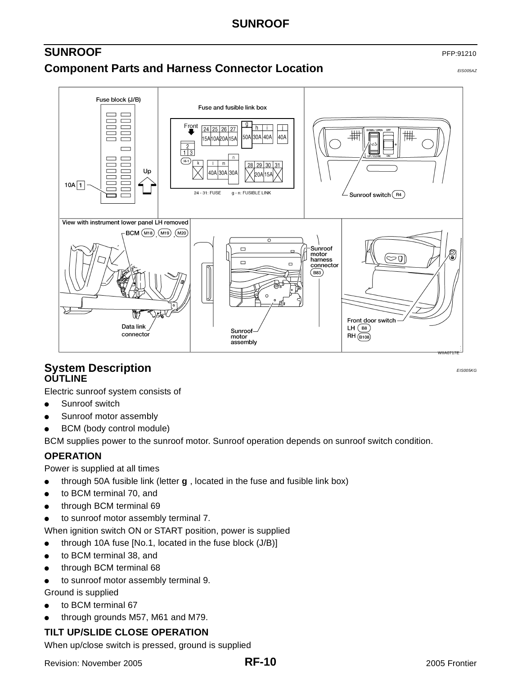### <span id="page-9-1"></span><span id="page-9-0"></span>**SUNROOF** PFP:91210 **Component Parts and Harness Connector Location EXPONED BESOCSAZ**



### <span id="page-9-3"></span><span id="page-9-2"></span>**System Description** *EIS005KG* **OUTLINE**

Electric sunroof system consists of

- Sunroof switch
- Sunroof motor assembly
- BCM (body control module)

BCM supplies power to the sunroof motor. Sunroof operation depends on sunroof switch condition.

#### <span id="page-9-4"></span>**OPERATION**

Power is supplied at all times

- through 50A fusible link (letter **g** , located in the fuse and fusible link box)
- to BCM terminal 70, and
- through BCM terminal 69
- to sunroof motor assembly terminal 7.

When ignition switch ON or START position, power is supplied

- through 10A fuse  $[No.1, located in the fuse block (J/B)]$
- to BCM terminal 38, and
- through BCM terminal 68
- to sunroof motor assembly terminal 9.

Ground is supplied

- to BCM terminal 67
- through grounds M57, M61 and M79.

#### **TILT UP/SLIDE CLOSE OPERATION**

When up/close switch is pressed, ground is supplied

Revision: November 2005 2005 Frontier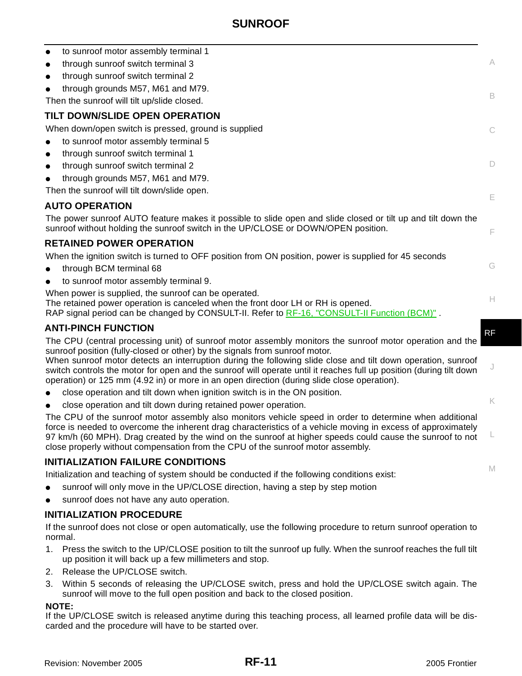<span id="page-10-1"></span>

| to sunroof motor assembly terminal 1<br>$\bullet$                                                                                                                                                                                                                                                                                                                                                                       |    |
|-------------------------------------------------------------------------------------------------------------------------------------------------------------------------------------------------------------------------------------------------------------------------------------------------------------------------------------------------------------------------------------------------------------------------|----|
| through sunroof switch terminal 3<br>$\bullet$                                                                                                                                                                                                                                                                                                                                                                          | A  |
| through sunroof switch terminal 2                                                                                                                                                                                                                                                                                                                                                                                       |    |
| through grounds M57, M61 and M79.                                                                                                                                                                                                                                                                                                                                                                                       |    |
| Then the sunroof will tilt up/slide closed.                                                                                                                                                                                                                                                                                                                                                                             | B  |
| TILT DOWN/SLIDE OPEN OPERATION                                                                                                                                                                                                                                                                                                                                                                                          |    |
| When down/open switch is pressed, ground is supplied                                                                                                                                                                                                                                                                                                                                                                    | C  |
| to sunroof motor assembly terminal 5                                                                                                                                                                                                                                                                                                                                                                                    |    |
| through sunroof switch terminal 1                                                                                                                                                                                                                                                                                                                                                                                       |    |
| through sunroof switch terminal 2                                                                                                                                                                                                                                                                                                                                                                                       | D. |
| through grounds M57, M61 and M79.                                                                                                                                                                                                                                                                                                                                                                                       |    |
| Then the sunroof will tilt down/slide open.                                                                                                                                                                                                                                                                                                                                                                             | E  |
| <b>AUTO OPERATION</b>                                                                                                                                                                                                                                                                                                                                                                                                   |    |
| The power sunroof AUTO feature makes it possible to slide open and slide closed or tilt up and tilt down the<br>sunroof without holding the sunroof switch in the UP/CLOSE or DOWN/OPEN position.                                                                                                                                                                                                                       | F  |
| <b>RETAINED POWER OPERATION</b>                                                                                                                                                                                                                                                                                                                                                                                         |    |
| When the ignition switch is turned to OFF position from ON position, power is supplied for 45 seconds                                                                                                                                                                                                                                                                                                                   |    |
| through BCM terminal 68                                                                                                                                                                                                                                                                                                                                                                                                 | G  |
| to sunroof motor assembly terminal 9.                                                                                                                                                                                                                                                                                                                                                                                   |    |
| When power is supplied, the sunroof can be operated.<br>The retained power operation is canceled when the front door LH or RH is opened.<br>RAP signal period can be changed by CONSULT-II. Refer to RF-16, "CONSULT-II Function (BCM)".                                                                                                                                                                                | H. |
| <b>ANTI-PINCH FUNCTION</b>                                                                                                                                                                                                                                                                                                                                                                                              | RF |
| The CPU (central processing unit) of sunroof motor assembly monitors the sunroof motor operation and the                                                                                                                                                                                                                                                                                                                |    |
| sunroof position (fully-closed or other) by the signals from sunroof motor.                                                                                                                                                                                                                                                                                                                                             |    |
| When sunroof motor detects an interruption during the following slide close and tilt down operation, sunroof<br>switch controls the motor for open and the sunroof will operate until it reaches full up position (during tilt down<br>operation) or 125 mm (4.92 in) or more in an open direction (during slide close operation).                                                                                      | J  |
| close operation and tilt down when ignition switch is in the ON position.                                                                                                                                                                                                                                                                                                                                               |    |
| close operation and tilt down during retained power operation.                                                                                                                                                                                                                                                                                                                                                          | K  |
| The CPU of the sunroof motor assembly also monitors vehicle speed in order to determine when additional<br>force is needed to overcome the inherent drag characteristics of a vehicle moving in excess of approximately<br>97 km/h (60 MPH). Drag created by the wind on the sunroof at higher speeds could cause the sunroof to not<br>close properly without compensation from the CPU of the sunroof motor assembly. |    |
| <b>INITIALIZATION FAILURE CONDITIONS</b>                                                                                                                                                                                                                                                                                                                                                                                |    |
| Initialization and teaching of system should be conducted if the following conditions exist:                                                                                                                                                                                                                                                                                                                            | M  |
| sunroof will only move in the UP/CLOSE direction, having a step by step motion                                                                                                                                                                                                                                                                                                                                          |    |
| sunroof does not have any auto operation.                                                                                                                                                                                                                                                                                                                                                                               |    |
| <b>INITIALIZATION PROCEDURE</b>                                                                                                                                                                                                                                                                                                                                                                                         |    |
| If the sunroof does not close or open automatically, use the following procedure to return sunroof operation to<br>normal.                                                                                                                                                                                                                                                                                              |    |
| 1. Press the switch to the UP/CLOSE position to tilt the sunroof up fully. When the sunroof reaches the full tilt                                                                                                                                                                                                                                                                                                       |    |

2. Release the UP/CLOSE switch.

<span id="page-10-0"></span>up position it will back up a few millimeters and stop.

3. Within 5 seconds of releasing the UP/CLOSE switch, press and hold the UP/CLOSE switch again. The sunroof will move to the full open position and back to the closed position.

#### **NOTE:**

If the UP/CLOSE switch is released anytime during this teaching process, all learned profile data will be discarded and the procedure will have to be started over.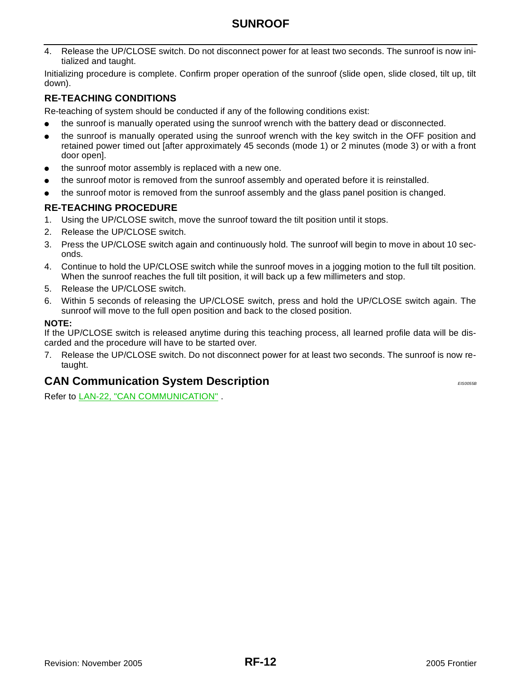4. Release the UP/CLOSE switch. Do not disconnect power for at least two seconds. The sunroof is now initialized and taught.

Initializing procedure is complete. Confirm proper operation of the sunroof (slide open, slide closed, tilt up, tilt down).

#### **RE-TEACHING CONDITIONS**

Re-teaching of system should be conducted if any of the following conditions exist:

- the sunroof is manually operated using the sunroof wrench with the battery dead or disconnected.
- the sunroof is manually operated using the sunroof wrench with the key switch in the OFF position and retained power timed out [after approximately 45 seconds (mode 1) or 2 minutes (mode 3) or with a front door open].
- the sunroof motor assembly is replaced with a new one.
- the sunroof motor is removed from the sunroof assembly and operated before it is reinstalled.
- the sunroof motor is removed from the sunroof assembly and the glass panel position is changed.

#### **RE-TEACHING PROCEDURE**

- 1. Using the UP/CLOSE switch, move the sunroof toward the tilt position until it stops.
- 2. Release the UP/CLOSE switch.
- 3. Press the UP/CLOSE switch again and continuously hold. The sunroof will begin to move in about 10 seconds.
- 4. Continue to hold the UP/CLOSE switch while the sunroof moves in a jogging motion to the full tilt position. When the sunroof reaches the full tilt position, it will back up a few millimeters and stop.
- 5. Release the UP/CLOSE switch.
- 6. Within 5 seconds of releasing the UP/CLOSE switch, press and hold the UP/CLOSE switch again. The sunroof will move to the full open position and back to the closed position.

#### **NOTE:**

If the UP/CLOSE switch is released anytime during this teaching process, all learned profile data will be discarded and the procedure will have to be started over.

7. Release the UP/CLOSE switch. Do not disconnect power for at least two seconds. The sunroof is now retaught.

### <span id="page-11-0"></span>**CAN Communication System Description EXAMPLE 20065B**

Refer to LAN-22, "CAN COMMUNICATION" .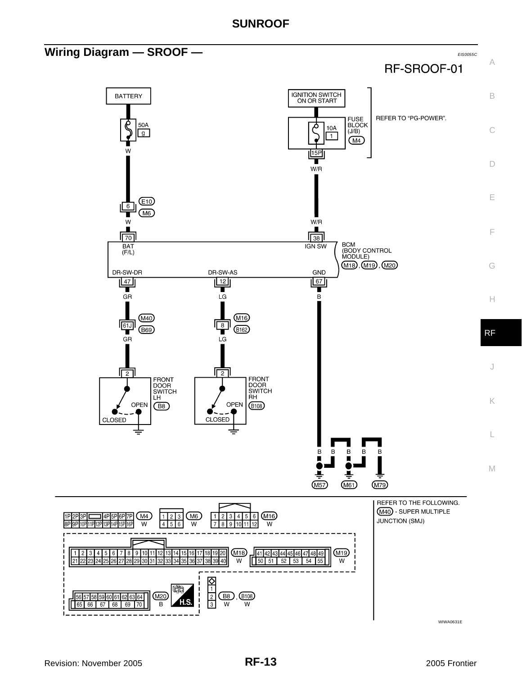<span id="page-12-0"></span>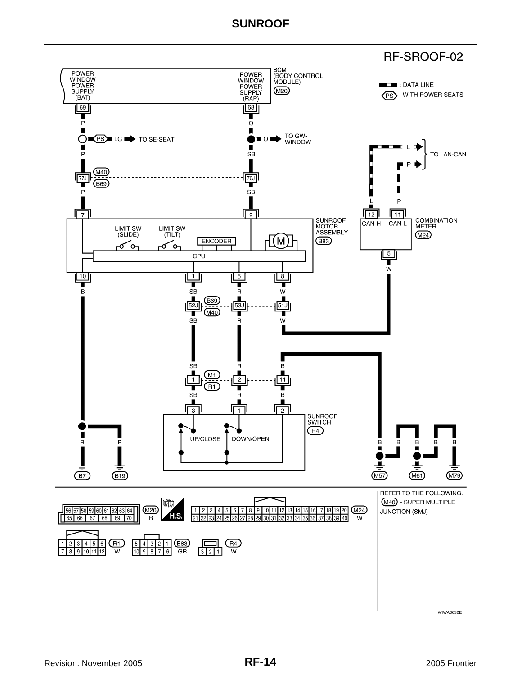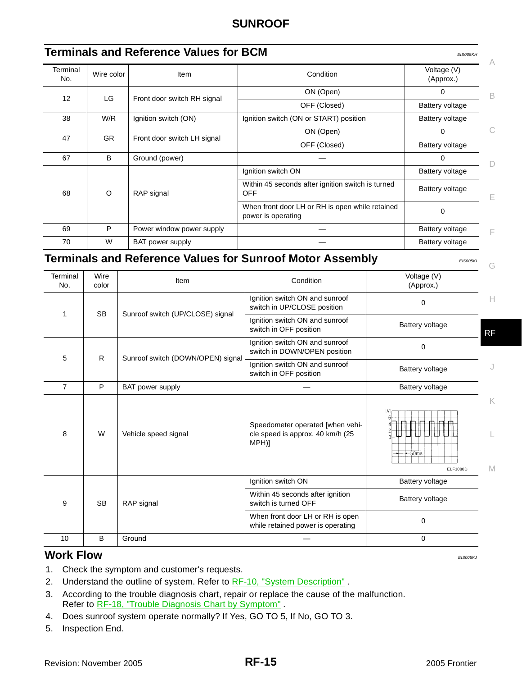<span id="page-14-0"></span>

| Terminal<br>No. | Wire color | Item                        | Condition                                                             | Voltage (V)<br>(Approx.) |
|-----------------|------------|-----------------------------|-----------------------------------------------------------------------|--------------------------|
| 12              | LG         |                             | ON (Open)                                                             | 0                        |
|                 |            | Front door switch RH signal | OFF (Closed)                                                          | Battery voltage          |
| 38              | W/R        | Ignition switch (ON)        | Ignition switch (ON or START) position                                | Battery voltage          |
|                 | <b>GR</b>  |                             | ON (Open)                                                             | $\Omega$                 |
| 47              |            | Front door switch LH signal | OFF (Closed)                                                          | Battery voltage          |
| 67              | B          | Ground (power)              |                                                                       | $\Omega$                 |
|                 |            |                             | Ignition switch ON                                                    | Battery voltage          |
| 68              | $\circ$    | RAP signal                  | Within 45 seconds after ignition switch is turned<br><b>OFF</b>       | Battery voltage          |
|                 |            |                             | When front door LH or RH is open while retained<br>power is operating | 0                        |
| 69              | P          | Power window power supply   |                                                                       | Battery voltage          |
| 70              | W          | <b>BAT</b> power supply     |                                                                       | Battery voltage          |

<span id="page-14-1"></span>

|                 |               |                                   |                                                                               |                           | G         |
|-----------------|---------------|-----------------------------------|-------------------------------------------------------------------------------|---------------------------|-----------|
| Terminal<br>No. | Wire<br>color | <b>Item</b>                       | Condition                                                                     | Voltage (V)<br>(Approx.)  |           |
| 1               | <b>SB</b>     | Sunroof switch (UP/CLOSE) signal  | Ignition switch ON and sunroof<br>switch in UP/CLOSE position                 | $\Omega$                  | Н         |
|                 |               |                                   | Ignition switch ON and sunroof<br>switch in OFF position                      | Battery voltage           | <b>RF</b> |
| 5               | R.            | Sunroof switch (DOWN/OPEN) signal | Ignition switch ON and sunroof<br>switch in DOWN/OPEN position                | $\Omega$                  |           |
|                 |               |                                   | Ignition switch ON and sunroof<br>switch in OFF position                      | Battery voltage           | J         |
| $\overline{7}$  | P             | <b>BAT power supply</b>           |                                                                               | Battery voltage           |           |
| 8               | W             | Vehicle speed signal              | Speedometer operated [when vehi-<br>cle speed is approx. 40 km/h (25<br>MPH)] | (V<br>$+50ms$<br>ELF1080D | K<br>M    |
|                 |               |                                   | Ignition switch ON                                                            | Battery voltage           |           |
| 9               | <b>SB</b>     | RAP signal                        | Within 45 seconds after ignition<br>switch is turned OFF                      | Battery voltage           |           |
|                 |               |                                   | When front door LH or RH is open<br>while retained power is operating         | $\Omega$                  |           |
| 10              | B             | Ground                            |                                                                               | $\mathbf 0$               |           |

### <span id="page-14-2"></span>**Work Flow** *EIS005KJ*

- 1. Check the symptom and customer's requests.
- 2. Understand the outline of system. Refer to RF-10, "System Description".
- 3. According to the trouble diagnosis chart, repair or replace the cause of the malfunction. Refer to [RF-18, "Trouble Diagnosis Chart by Symptom"](#page-17-0).
- 4. Does sunroof system operate normally? If Yes, GO TO 5, If No, GO TO 3.
- 5. Inspection End.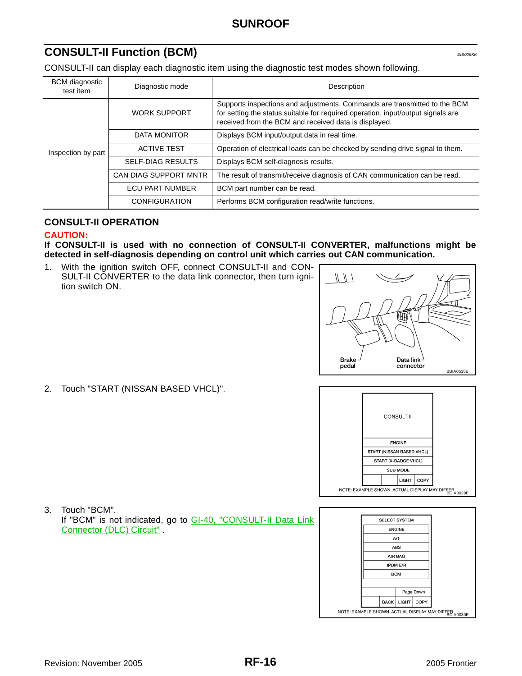### <span id="page-15-0"></span>**CONSULT-II Function (BCM)** *EIS005KK***</del>**

CONSULT-II can display each diagnostic item using the diagnostic test modes shown following.

| <b>BCM</b> diagnostic<br>test item | Diagnostic mode              | Description                                                                                                                                                                                                            |
|------------------------------------|------------------------------|------------------------------------------------------------------------------------------------------------------------------------------------------------------------------------------------------------------------|
|                                    | <b>WORK SUPPORT</b>          | Supports inspections and adjustments. Commands are transmitted to the BCM<br>for setting the status suitable for required operation, input/output signals are<br>received from the BCM and received data is displayed. |
|                                    | DATA MONITOR                 | Displays BCM input/output data in real time.                                                                                                                                                                           |
| Inspection by part                 | <b>ACTIVE TEST</b>           | Operation of electrical loads can be checked by sending drive signal to them.                                                                                                                                          |
|                                    | <b>SELF-DIAG RESULTS</b>     | Displays BCM self-diagnosis results.                                                                                                                                                                                   |
|                                    | <b>CAN DIAG SUPPORT MNTR</b> | The result of transmit/receive diagnosis of CAN communication can be read.                                                                                                                                             |
|                                    | <b>ECU PART NUMBER</b>       | BCM part number can be read.                                                                                                                                                                                           |
|                                    | <b>CONFIGURATION</b>         | Performs BCM configuration read/write functions.                                                                                                                                                                       |

#### <span id="page-15-1"></span>**CONSULT-II OPERATION**

#### **CAUTION:**

**If CONSULT-II is used with no connection of CONSULT-II CONVERTER, malfunctions might be detected in self-diagnosis depending on control unit which carries out CAN communication.**

1. With the ignition switch OFF, connect CONSULT-II and CON-SULT-II CONVERTER to the data link connector, then turn ignition switch ON.



2. Touch "START (NISSAN BASED VHCL)".



- SELECT SYSTEM ENGINE  $A/T$ ABS AIR BAG **IPDM E/R**  $\mathsf{BCM}$ Page Down BACK LIGHT COPY NOTE: EXAMPLE SHOWN. ACTUAL DISPLAY MAY DIFFER
- 3. Touch "BCM". If "BCM" is not indicated, go to GI-40, "CONSULT-II Data Link Connector (DLC) Circuit" .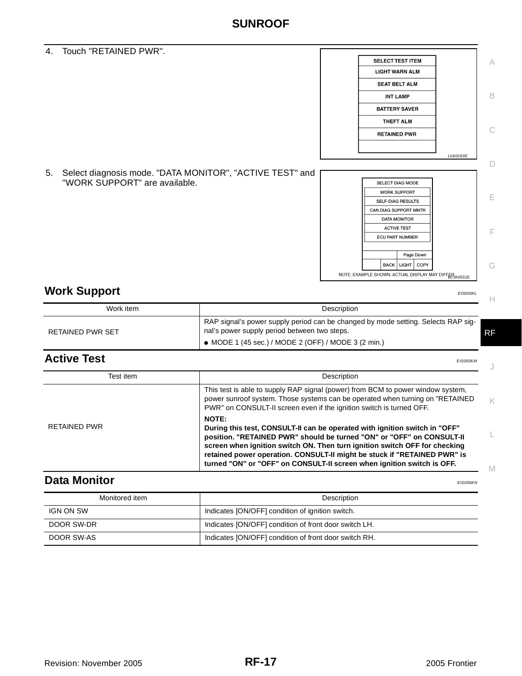4. Touch "RETAINED PWR".

5. Select diagnosis mode. "DATA MONITOR", "ACTIVE TEST" and "WORK SUPPORT" are available. SELECT DIAG MODE WORK SUPPORT SELF-DIAG RESULTS CAN DIAG SUPPORT MNTR DATA MONITOR **ACTIVE TEST** 

<span id="page-16-0"></span>**Work Support** *EIS005KL* 

| .                       | LIJUUJIL                                                                                                                                                                                 |    |
|-------------------------|------------------------------------------------------------------------------------------------------------------------------------------------------------------------------------------|----|
| Work item               | Description                                                                                                                                                                              |    |
| <b>RETAINED PWR SET</b> | RAP signal's power supply period can be changed by mode setting. Selects RAP sig-<br>nal's power supply period between two steps.<br>• MODE 1 (45 sec.) / MODE 2 (OFF) / MODE 3 (2 min.) | RF |

### <span id="page-16-1"></span>**Active Test** *EIS005KM*

| Test item    | Description                                                                                                                                                                                                                                                                                                                                                                                             |
|--------------|---------------------------------------------------------------------------------------------------------------------------------------------------------------------------------------------------------------------------------------------------------------------------------------------------------------------------------------------------------------------------------------------------------|
|              | This test is able to supply RAP signal (power) from BCM to power window system,<br>power sunroof system. Those systems can be operated when turning on "RETAINED"<br>PWR" on CONSULT-II screen even if the ignition switch is turned OFF.                                                                                                                                                               |
| RETAINED PWR | <b>NOTE:</b><br>During this test, CONSULT-II can be operated with ignition switch in "OFF"<br>position. "RETAINED PWR" should be turned "ON" or "OFF" on CONSULT-II<br>screen when ignition switch ON. Then turn ignition switch OFF for checking<br>retained power operation. CONSULT-II might be stuck if "RETAINED PWR" is<br>turned "ON" or "OFF" on CONSULT-II screen when ignition switch is OFF. |

### <span id="page-16-2"></span>**Data Monitor** *EIS005KN*

| Monitored item | Description                                           |
|----------------|-------------------------------------------------------|
| IGN ON SW      | Indicates [ON/OFF] condition of ignition switch.      |
| DOOR SW-DR     | Indicates [ON/OFF] condition of front door switch LH. |
| DOOR SW-AS     | Indicates [ON/OFF] condition of front door switch RH. |

C

A

B

D

LIIA0163E

NOTE: EXAMPLE SHOWN. ACTUAL DISPLAY MAY DIFFER

Page Down  $|$  васк  $|$  ціснт  $|$  сору

ECU PART NUMBER

**SELECT TEST ITEM LIGHT WARN ALM SEAT BELT ALM INT LAMP BATTERY SAVER** THEFT ALM **RETAINED PWR** 

E

F

G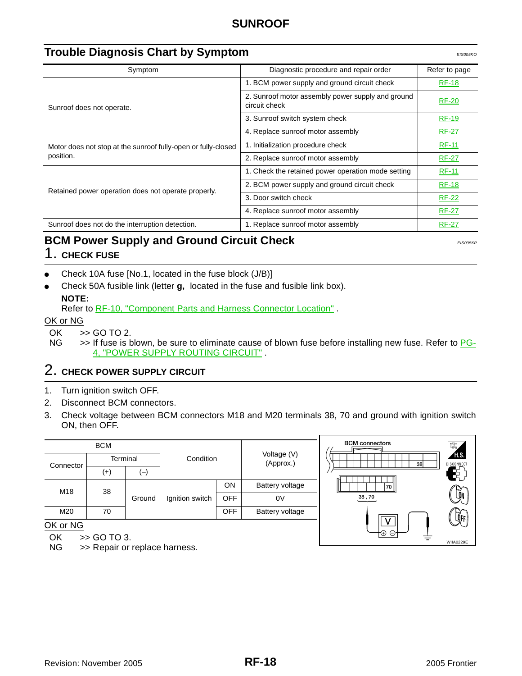<span id="page-17-0"></span>

| <b>Trouble Diagnosis Chart by Symptom</b><br><b>EIS005KO</b>  |                                                                    |               |  |  |
|---------------------------------------------------------------|--------------------------------------------------------------------|---------------|--|--|
| Symptom                                                       | Diagnostic procedure and repair order                              | Refer to page |  |  |
|                                                               | 1. BCM power supply and ground circuit check                       | <b>RF-18</b>  |  |  |
| Sunroof does not operate.                                     | 2. Sunroof motor assembly power supply and ground<br>circuit check | <b>RF-20</b>  |  |  |
|                                                               | 3. Sunroof switch system check                                     | <b>RF-19</b>  |  |  |
|                                                               | 4. Replace sunroof motor assembly                                  | <b>RF-27</b>  |  |  |
| Motor does not stop at the sunroof fully-open or fully-closed | 1. Initialization procedure check                                  | <b>RF-11</b>  |  |  |
| position.                                                     | 2. Replace sunroof motor assembly                                  | <b>RF-27</b>  |  |  |
|                                                               | 1. Check the retained power operation mode setting                 | <b>RF-11</b>  |  |  |
|                                                               | 2. BCM power supply and ground circuit check                       | <b>RF-18</b>  |  |  |
| Retained power operation does not operate properly.           | 3. Door switch check                                               | <b>RF-22</b>  |  |  |
|                                                               | 4. Replace sunroof motor assembly                                  | <b>RF-27</b>  |  |  |
| Sunroof does not do the interruption detection.               | 1. Replace sunroof motor assembly                                  | <b>RF-27</b>  |  |  |

## <span id="page-17-1"></span>**BCM Power Supply and Ground Circuit Check** *EIS005KP*

1. **CHECK FUSE**

- Check 10A fuse [No.1, located in the fuse block (J/B)]
- Check 50A fusible link (letter **g,** located in the fuse and fusible link box). **NOTE:**

Refer to [RF-10, "Component Parts and Harness Connector Location"](#page-9-1) .

OK or NG

- OK  $\Rightarrow$  GO TO 2.<br>NG  $\Rightarrow$  If fuse is b
- >> If fuse is blown, be sure to eliminate cause of blown fuse before installing new fuse. Refer to PG-4, "POWER SUPPLY ROUTING CIRCUIT" .

# 2. **CHECK POWER SUPPLY CIRCUIT**

- 1. Turn ignition switch OFF.
- 2. Disconnect BCM connectors.
- 3. Check voltage between BCM connectors M18 and M20 terminals 38, 70 and ground with ignition switch ON, then OFF.

|                                 | <b>BCM</b> |        | Condition       |            | Voltage (V)     |  |           |
|---------------------------------|------------|--------|-----------------|------------|-----------------|--|-----------|
| Connector                       | Terminal   |        |                 |            |                 |  | (Approx.) |
|                                 | $^{(+)}$   | (一)    |                 |            |                 |  |           |
| M18                             | 38         |        |                 | ON         | Battery voltage |  |           |
|                                 |            | Ground | Ignition switch | <b>OFF</b> | 0V              |  |           |
| M20                             | 70         |        |                 | <b>OFF</b> | Battery voltage |  |           |
| $\bigcap V$ $\bigcap$ $\bigcap$ |            |        |                 |            |                 |  |           |

**BCM** connectors  $70$  $38\,,70$ LOFF WIIA0229E

OK or NG

OK >> GO TO 3.

NG >> Repair or replace harness.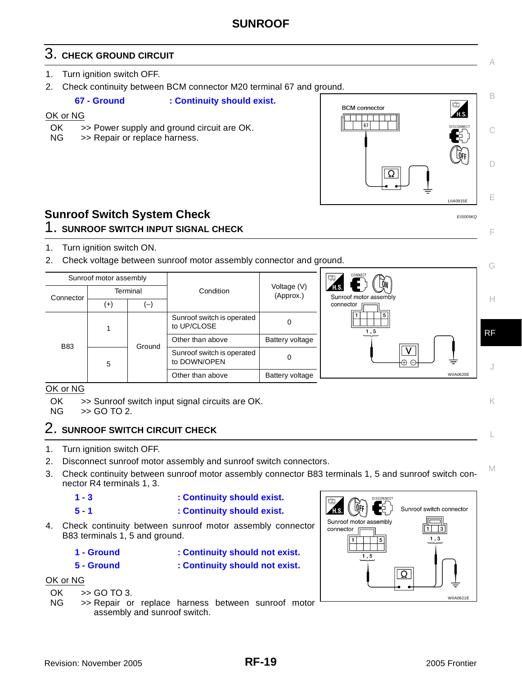# 3. **CHECK GROUND CIRCUIT**

- 1. Turn ignition switch OFF.
- 2. Check continuity between BCM connector M20 terminal 67 and ground.

**67 - Ground : Continuity should exist.**

#### OK or NG

- OK >> Power supply and ground circuit are OK.
- NG >> Repair or replace harness.



C

A

B

D

E

F

G

K

L

M

### <span id="page-18-0"></span>**Sunroof Switch System Check** *EIS005KQ*

### 1. **SUNROOF SWITCH INPUT SIGNAL CHECK**

- 1. Turn ignition switch ON.
- 2. Check voltage between sunroof motor assembly connector and ground.

| Sunroof motor assembly |   |           |                                            | CONNECT<br>I命.<br>.ON             |            |           |
|------------------------|---|-----------|--------------------------------------------|-----------------------------------|------------|-----------|
| Terminal<br>Connector  |   | Condition | Voltage (V)<br>(Approx.)                   | TH.S.  <br>Sunroof motor assembly | Н          |           |
| $(+)$<br>ا—            |   |           |                                            | connector                         |            |           |
|                        |   |           | Sunroof switch is operated<br>to UP/CLOSE  | 0                                 | 5  <br>1,5 | <b>RF</b> |
| <b>B83</b>             |   | Ground    | Other than above                           | Battery voltage                   |            |           |
|                        | 5 |           | Sunroof switch is operated<br>to DOWN/OPEN | 0                                 |            |           |
|                        |   |           | Other than above                           | Battery voltage                   | WIIA0620E  |           |

#### OK or NG

OK >> Sunroof switch input signal circuits are OK.

NG >> GO TO 2.

# 2. **SUNROOF SWITCH CIRCUIT CHECK**

- 1. Turn ignition switch OFF.
- 2. Disconnect sunroof motor assembly and sunroof switch connectors.
- 3. Check continuity between sunroof motor assembly connector B83 terminals 1, 5 and sunroof switch connector R4 terminals 1, 3.

$$
1-3
$$

#### **1 - 3 : Continuity should exist.**

- **5 1 : Continuity should exist.**
- 4. Check continuity between sunroof motor assembly connector B83 terminals 1, 5 and ground.
	-
	-
	- **1 Ground : Continuity should not exist. 5 - Ground : Continuity should not exist.**

#### OK or NG

- OK >> GO TO 3.
- NG >> Repair or replace harness between sunroof motor assembly and sunroof switch.

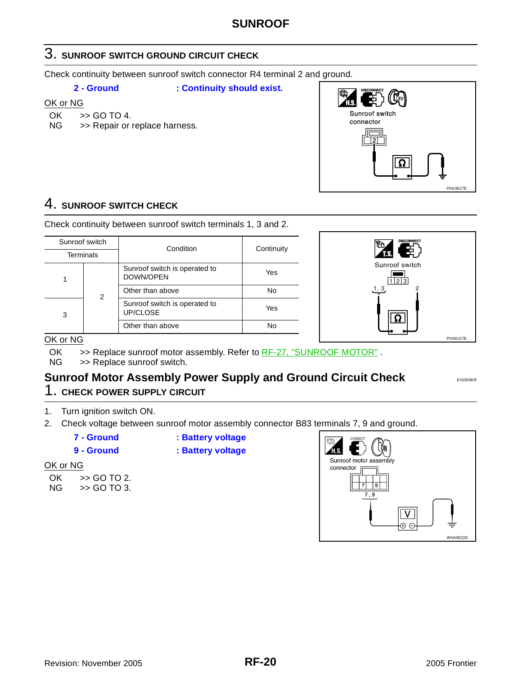### 3. **SUNROOF SWITCH GROUND CIRCUIT CHECK**

Check continuity between sunroof switch connector R4 terminal 2 and ground.

**2 - Ground : Continuity should exist.**

OK or NG

- OK >> GO TO 4.
- NG >> Repair or replace harness.



### 4. **SUNROOF SWITCH CHECK**

Check continuity between sunroof switch terminals 1, 3 and 2.

| Sunroof switch   |  | Condition                                  | Continuity |  |
|------------------|--|--------------------------------------------|------------|--|
| <b>Terminals</b> |  |                                            |            |  |
|                  |  | Sunroof switch is operated to<br>DOWN/OPEN | Yes        |  |
| 2<br>3           |  | Other than above                           | No         |  |
|                  |  | Sunroof switch is operated to<br>UP/CLOSE  | Yes        |  |
|                  |  | Other than above                           | No         |  |



#### OK or NG

OK  $\Rightarrow$  Replace sunroof motor assembly. Refer to  $RF-27$ , "SUNROOF MOTOR".<br>NG  $\Rightarrow$  Replace sunroof switch.

>> Replace sunroof switch.

### <span id="page-19-0"></span>**Sunroof Motor Assembly Power Supply and Ground Circuit Check** *EIS005KR* 1. **CHECK POWER SUPPLY CIRCUIT**

- 
- 1. Turn ignition switch ON.
- 2. Check voltage between sunroof motor assembly connector B83 terminals 7, 9 and ground.
	- **7 Ground : Battery voltage**

**9 - Ground : Battery voltage**

#### OK or NG

| OK | >> GO TO 2. |
|----|-------------|
| NG | >> GO TO 3. |

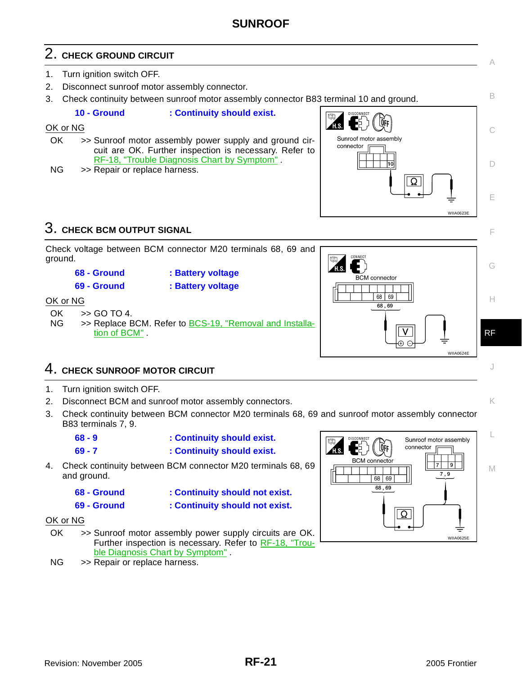# 2. **CHECK GROUND CIRCUIT**

- 1. Turn ignition switch OFF.
- 2. Disconnect sunroof motor assembly connector.
- 3. Check continuity between sunroof motor assembly connector B83 terminal 10 and ground.

#### **10 - Ground : Continuity should exist.**

#### OK or NG

- OK >> Sunroof motor assembly power supply and ground circuit are OK. Further inspection is necessary. Refer to [RF-18, "Trouble Diagnosis Chart by Symptom"](#page-17-0) .
- NG >> Repair or replace harness.



### 3. **CHECK BCM OUTPUT SIGNAL**



### 4. **CHECK SUNROOF MOTOR CIRCUIT**

- 1. Turn ignition switch OFF.
- 2. Disconnect BCM and sunroof motor assembly connectors.
- 3. Check continuity between BCM connector M20 terminals 68, 69 and sunroof motor assembly connector B83 terminals 7, 9.

| $68 - 9$ | : Continuity should exist. |
|----------|----------------------------|
| $69 - 7$ | : Continuity should exist. |

- 4. Check continuity between BCM connector M20 terminals 68, 69 and ground.
	-
	- **69 Ground : Continuity should not exist.**
	- **68 Ground : Continuity should not exist.**
	-
- 

- OK or NG
- OK >> Sunroof motor assembly power supply circuits are OK. Further inspection is necessary. Refer to [RF-18, "Trou](#page-17-0)[ble Diagnosis Chart by Symptom"](#page-17-0).
- NG >> Repair or replace harness.



J

C

B

A

D

E

F

K

L

M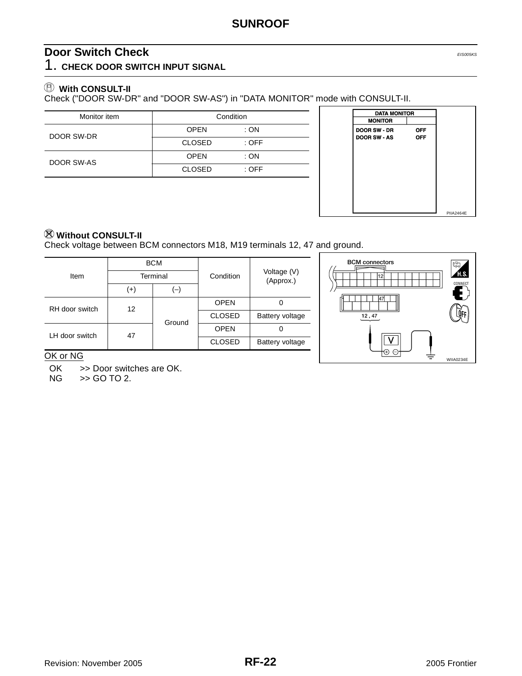## <span id="page-21-0"></span>**Door Switch Check** *EIS005KS*

1. **CHECK DOOR SWITCH INPUT SIGNAL**

### **With CONSULT-II**

Check ("DOOR SW-DR" and "DOOR SW-AS") in "DATA MONITOR" mode with CONSULT-II.

| Monitor item | Condition     |         |  |
|--------------|---------------|---------|--|
| DOOR SW-DR   | <b>OPEN</b>   | :ON     |  |
|              | <b>CLOSED</b> | $:$ OFF |  |
| DOOR SW-AS   | <b>OPEN</b>   | :ON     |  |
|              | <b>CLOSED</b> | $:$ OFF |  |



### **Without CONSULT-II**

Check voltage between BCM connectors M18, M19 terminals 12, 47 and ground.

|                      | <b>BCM</b><br>Terminal |        |               |                          |  |
|----------------------|------------------------|--------|---------------|--------------------------|--|
| Item                 |                        |        | Condition     | Voltage (V)<br>(Approx.) |  |
|                      | $^{(+)}$               | ۳,     |               |                          |  |
| RH door switch<br>12 |                        | Ground | <b>OPEN</b>   |                          |  |
|                      |                        |        | <b>CLOSED</b> | Battery voltage          |  |
| LH door switch       | 47                     |        | <b>OPEN</b>   | Ω                        |  |
|                      |                        |        | <b>CLOSED</b> | Battery voltage          |  |



#### OK or NG

OK >> Door switches are OK.<br>NG >> GO TO 2.

 $\gt$  GO TO 2.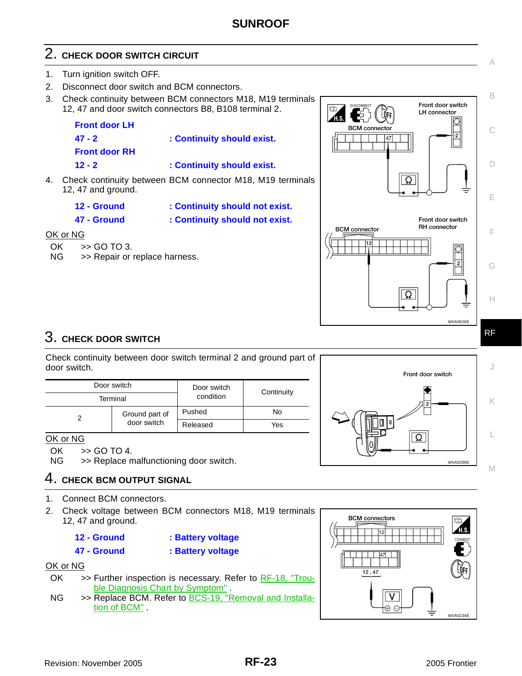# 2. **CHECK DOOR SWITCH CIRCUIT**

- 1. Turn ignition switch OFF.
- 2. Disconnect door switch and BCM connectors.
- 3. Check continuity between BCM connectors M18, M19 terminals 12, 47 and door switch connectors B8, B108 terminal 2.



- 4. Check continuity between BCM connector M18, M19 terminals 12, 47 and ground.
	- **12 Ground : Continuity should not exist.**
	- **47 Ground : Continuity should not exist.**

#### OK or NG

- OK >> GO TO 3.
- NG >> Repair or replace harness.



Check continuity between door switch terminal 2 and ground part of door switch.

| Door switch |                | Door switch | Continuity |  |
|-------------|----------------|-------------|------------|--|
| Terminal    |                | condition   |            |  |
|             | Ground part of | Pushed      | No         |  |
|             | door switch    | Released    | Yes        |  |



OK  $\Rightarrow$  GO TO 4.<br>NG  $\Rightarrow$  Replace n

>> Replace malfunctioning door switch.

### 4. **CHECK BCM OUTPUT SIGNAL**

- 1. Connect BCM connectors.
- 2. Check voltage between BCM connectors M18, M19 terminals 12, 47 and ground.
	- **12 Ground : Battery voltage**
	- **47 Ground : Battery voltage**

#### OK or NG

- $OK$   $\Rightarrow$  Further inspection is necessary. Refer to [RF-18, "Trou](#page-17-0)[ble Diagnosis Chart by Symptom"](#page-17-0) .
- NG >> Replace BCM. Refer to BCS-19, "Removal and Installation of BCM" .





C

B

Front door switch **LH** connector

Front door switch RH connector

 $\heartsuit$ 

-2

**LOFF** 

147

Ω

 $\overline{\Omega}$ 

**BCM** connector

**BCM** connector

A

D

E

F

G

H

RF

WIIA0626E

∅  $\overline{2}$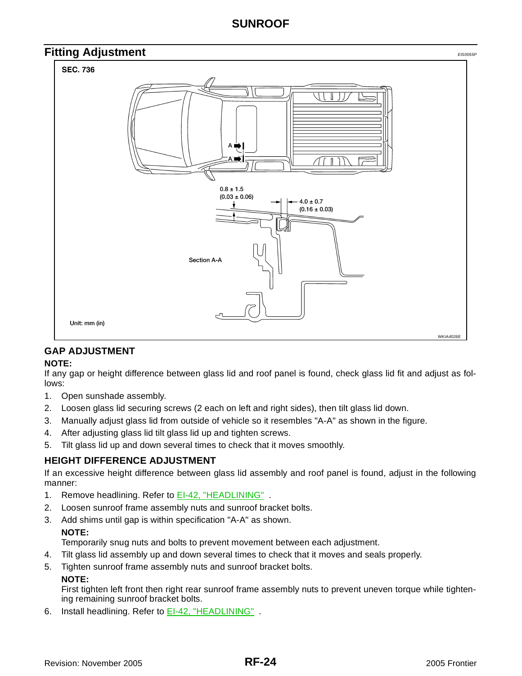<span id="page-23-0"></span>

### <span id="page-23-1"></span>**GAP ADJUSTMENT**

#### **NOTE:**

If any gap or height difference between glass lid and roof panel is found, check glass lid fit and adjust as follows:

- 1. Open sunshade assembly.
- 2. Loosen glass lid securing screws (2 each on left and right sides), then tilt glass lid down.
- 3. Manually adjust glass lid from outside of vehicle so it resembles "A-A" as shown in the figure.
- 4. After adjusting glass lid tilt glass lid up and tighten screws.
- 5. Tilt glass lid up and down several times to check that it moves smoothly.

#### <span id="page-23-2"></span>**HEIGHT DIFFERENCE ADJUSTMENT**

If an excessive height difference between glass lid assembly and roof panel is found, adjust in the following manner:

- 1. Remove headlining. Refer to **EI-42, "HEADLINING"**
- 2. Loosen sunroof frame assembly nuts and sunroof bracket bolts.
- 3. Add shims until gap is within specification "A-A" as shown. **NOTE:**

Temporarily snug nuts and bolts to prevent movement between each adjustment.

- 4. Tilt glass lid assembly up and down several times to check that it moves and seals properly.
- 5. Tighten sunroof frame assembly nuts and sunroof bracket bolts.

#### **NOTE:**

First tighten left front then right rear sunroof frame assembly nuts to prevent uneven torque while tightening remaining sunroof bracket bolts.

6. Install headlining. Refer to EI-42, "HEADLINING" .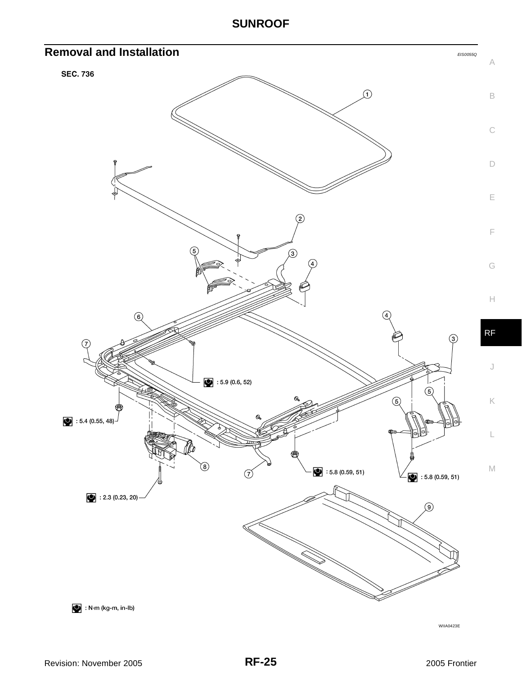<span id="page-24-0"></span>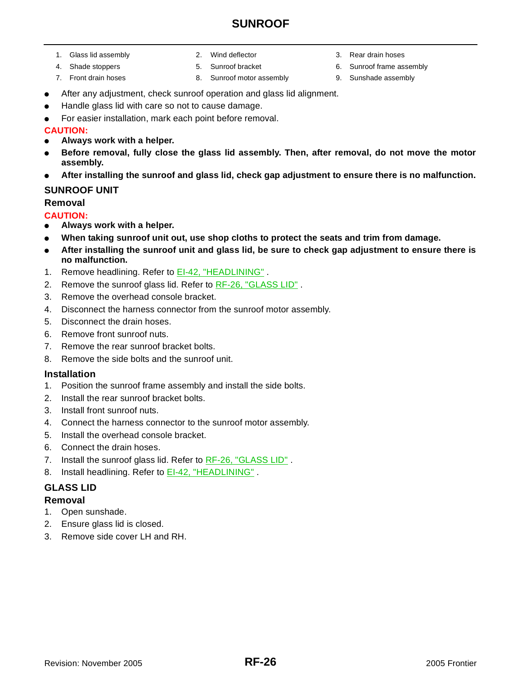- 1. Glass lid assembly 2. Wind deflector 3. Rear drain hoses
	-
	-
- 
- 7. Front drain hoses 8. Sunroof motor assembly 9. Sunshade assembly
- 
- 4. Shade stoppers 5. Sunroof bracket 6. Sunroof frame assembly
	-
- After any adjustment, check sunroof operation and glass lid alignment.
- Handle glass lid with care so not to cause damage.
- For easier installation, mark each point before removal.

### **CAUTION:**

- **Always work with a helper.**
- Before removal, fully close the glass lid assembly. Then, after removal, do not move the motor **assembly.**
- **After installing the sunroof and glass lid, check gap adjustment to ensure there is no malfunction.**

#### <span id="page-25-0"></span>**SUNROOF UNIT**

### **Removal**

#### **CAUTION:**

- **Always work with a helper.**
- When taking sunroof unit out, use shop cloths to protect the seats and trim from damage.
- **After installing the sunroof unit and glass lid, be sure to check gap adjustment to ensure there is no malfunction.**
- 1. Remove headlining. Refer to EI-42, "HEADLINING" .
- 2. Remove the sunroof glass lid. Refer to [RF-26, "GLASS LID"](#page-25-1).
- 3. Remove the overhead console bracket.
- 4. Disconnect the harness connector from the sunroof motor assembly.
- 5. Disconnect the drain hoses.
- 6. Remove front sunroof nuts.
- 7. Remove the rear sunroof bracket bolts.
- 8. Remove the side bolts and the sunroof unit.

#### **Installation**

- 1. Position the sunroof frame assembly and install the side bolts.
- 2. Install the rear sunroof bracket bolts.
- 3. Install front sunroof nuts.
- 4. Connect the harness connector to the sunroof motor assembly.
- 5. Install the overhead console bracket.
- 6. Connect the drain hoses.
- 7. Install the sunroof glass lid. Refer to RF-26, "GLASS LID".
- 8. Install headlining. Refer to **EI-42, "HEADLINING"**

#### <span id="page-25-1"></span>**GLASS LID**

#### <span id="page-25-2"></span>**Removal**

- 1. Open sunshade.
- 2. Ensure glass lid is closed.
- 3. Remove side cover LH and RH.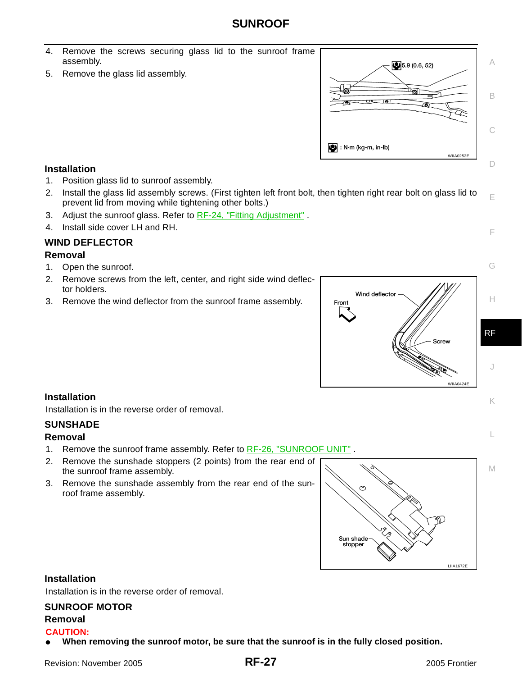- 4. Remove the screws securing glass lid to the sunroof frame assembly.
- 5. Remove the glass lid assembly.



#### **Installation**

- 1. Position glass lid to sunroof assembly.
- 2. Install the glass lid assembly screws. (First tighten left front bolt, then tighten right rear bolt on glass lid to prevent lid from moving while tightening other bolts.)
- 3. Adjust the sunroof glass. Refer to [RF-24, "Fitting Adjustment"](#page-23-0).
- 4. Install side cover LH and RH.

#### <span id="page-26-0"></span>**WIND DEFLECTOR**

#### **Removal**

- 1. Open the sunroof.
- 2. Remove screws from the left, center, and right side wind deflector holders.
- 3. Remove the wind deflector from the sunroof frame assembly.



#### **Installation**

Installation is in the reverse order of removal.

#### <span id="page-26-1"></span>**SUNSHADE**

#### **Removal**

- 1. Remove the sunroof frame assembly. Refer to RF-26, "SUNROOF UNIT"
- 2. Remove the sunshade stoppers (2 points) from the rear end of
- the sunroof frame assembly.
- 3. Remove the sunshade assembly from the rear end of the sunroof frame assembly.



#### **Installation**

Installation is in the reverse order of removal.

#### <span id="page-26-2"></span>**SUNROOF MOTOR**

#### **Removal CAUTION:**

When removing the sunroof motor, be sure that the sunroof is in the fully closed position.

M

L

E

F

G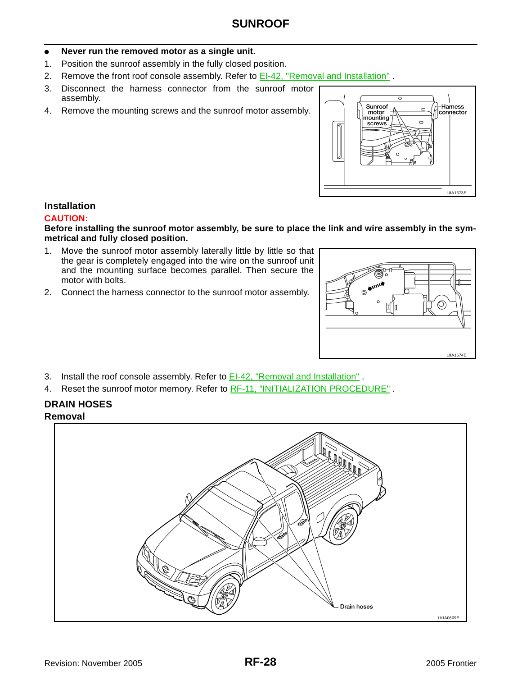#### Never run the removed motor as a single unit.

- 1. Position the sunroof assembly in the fully closed position.
- 2. Remove the front roof console assembly. Refer to EI-42, "Removal and Installation".
- 3. Disconnect the harness connector from the sunroof motor assembly.
- 4. Remove the mounting screws and the sunroof motor assembly.



#### **Installation**

#### **CAUTION:**

**Before installing the sunroof motor assembly, be sure to place the link and wire assembly in the symmetrical and fully closed position.**

- 1. Move the sunroof motor assembly laterally little by little so that the gear is completely engaged into the wire on the sunroof unit and the mounting surface becomes parallel. Then secure the motor with bolts.
- 2. Connect the harness connector to the sunroof motor assembly.



- 3. Install the roof console assembly. Refer to **EI-42**, "Removal and Installation".
- 4. Reset the sunroof motor memory. Refer to [RF-11, "INITIALIZATION PROCEDURE"](#page-10-0).

## <span id="page-27-0"></span>**DRAIN HOSES**

#### **Removal**